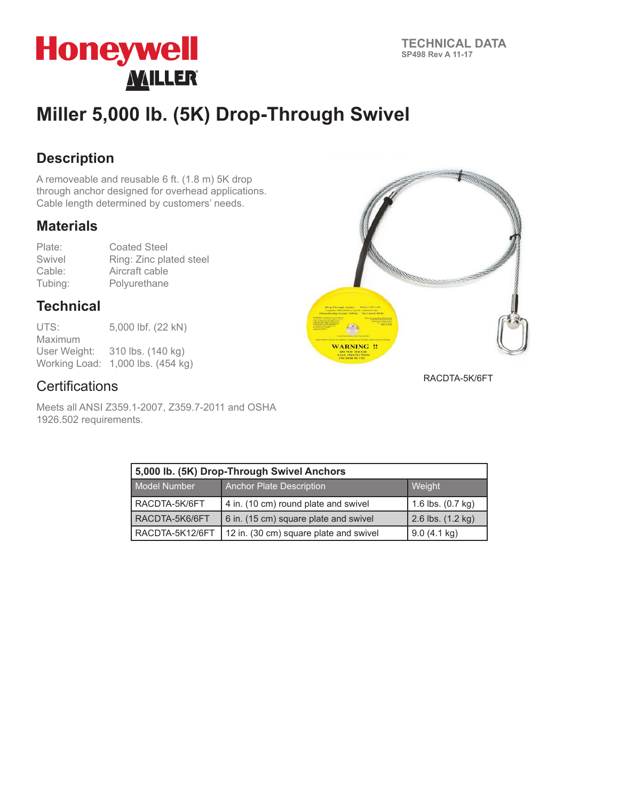

# **Miller 5,000 lb. (5K) Drop-Through Swivel**

### **Description**

A removeable and reusable 6 ft. (1.8 m) 5K drop through anchor designed for overhead applications. Cable length determined by customers' needs.

#### **Materials**

Plate: Coated Steel Swivel Ring: Zinc plated steel Cable: Aircraft cable<br>Tubing: Polyurethane Polyurethane

### **Technical**

| UTS:         | 5,000 lbf. (22 kN)                |
|--------------|-----------------------------------|
| Maximum      |                                   |
| User Weight: | 310 lbs. (140 kg)                 |
|              | Working Load: 1,000 lbs. (454 kg) |



Meets all ANSI Z359.1-2007, Z359.7-2011 and OSHA 1926.502 requirements.



RACDTA-5K/6FT

| 5,000 lb. (5K) Drop-Through Swivel Anchors |                                        |                             |  |
|--------------------------------------------|----------------------------------------|-----------------------------|--|
| Model Number                               | <b>Anchor Plate Description</b>        | Weight                      |  |
| RACDTA-5K/6FT                              | 4 in. (10 cm) round plate and swivel   | 1.6 lbs. $(0.7 \text{ kg})$ |  |
| RACDTA-5K6/6FT                             | 6 in. (15 cm) square plate and swivel  | 2.6 lbs. (1.2 kg)           |  |
| RACDTA-5K12/6FT                            | 12 in. (30 cm) square plate and swivel | $9.0(4.1 \text{ kg})$       |  |